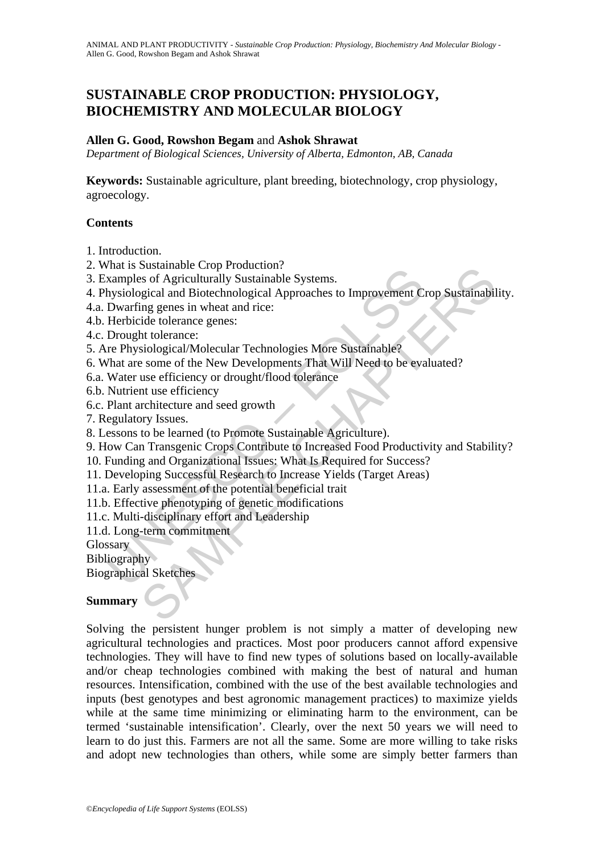# **SUSTAINABLE CROP PRODUCTION: PHYSIOLOGY, BIOCHEMISTRY AND MOLECULAR BIOLOGY**

#### **Allen G. Good, Rowshon Begam** and **Ashok Shrawat**

*Department of Biological Sciences, University of Alberta, Edmonton, AB, Canada*

**Keywords:** Sustainable agriculture, plant breeding, biotechnology, crop physiology, agroecology.

### **Contents**

- 1. Introduction.
- 2. What is Sustainable Crop Production?
- 3. Examples of Agriculturally Sustainable Systems.
- The Sustainable Diplomation Controlline<br>The Sustainable Systems.<br>
Aramples of Agriculturally Sustainable Systems.<br>
hysiological and Biotechnological Approaches to Improvement C<br>
Dwarfing genes in wheat and rice:<br>
Herbicide Solsamande Cup Productor:<br>
Sols Agriculturally Sustainable Systems.<br>
Sols of Agriculturally Sustainable Systems.<br>
Sigical and Biotechnological Approaches to Improvement Crop Sustainabil<br>
ride tolerance genes:<br>
sticlogical/ 4. Physiological and Biotechnological Approaches to Improvement Crop Sustainability.
- 4.a. Dwarfing genes in wheat and rice:
- 4.b. Herbicide tolerance genes:
- 4.c. Drought tolerance:
- 5. Are Physiological/Molecular Technologies More Sustainable?
- 6. What are some of the New Developments That Will Need to be evaluated?
- 6.a. Water use efficiency or drought/flood tolerance
- 6.b. Nutrient use efficiency
- 6.c. Plant architecture and seed growth
- 7. Regulatory Issues.
- 8. Lessons to be learned (to Promote Sustainable Agriculture).
- 9. How Can Transgenic Crops Contribute to Increased Food Productivity and Stability?
- 10. Funding and Organizational Issues: What Is Required for Success?
- 11. Developing Successful Research to Increase Yields (Target Areas)
- 11.a. Early assessment of the potential beneficial trait
- 11.b. Effective phenotyping of genetic modifications
- 11.c. Multi-disciplinary effort and Leadership
- 11.d. Long-term commitment
- **Glossary**

**Bibliography** 

Biographical Sketches

### **Summary**

Solving the persistent hunger problem is not simply a matter of developing new agricultural technologies and practices. Most poor producers cannot afford expensive technologies. They will have to find new types of solutions based on locally-available and/or cheap technologies combined with making the best of natural and human resources. Intensification, combined with the use of the best available technologies and inputs (best genotypes and best agronomic management practices) to maximize yields while at the same time minimizing or eliminating harm to the environment, can be termed 'sustainable intensification'. Clearly, over the next 50 years we will need to learn to do just this. Farmers are not all the same. Some are more willing to take risks and adopt new technologies than others, while some are simply better farmers than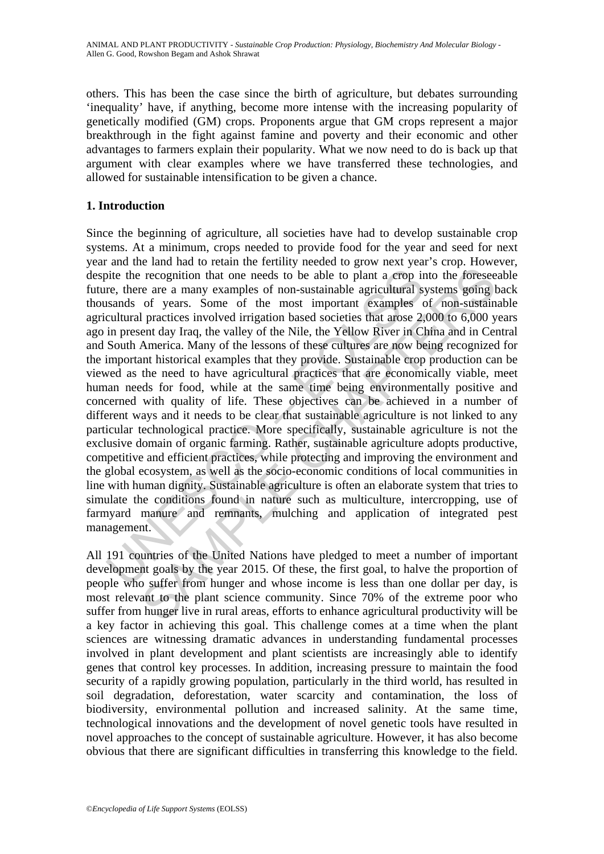others. This has been the case since the birth of agriculture, but debates surrounding 'inequality' have, if anything, become more intense with the increasing popularity of genetically modified (GM) crops. Proponents argue that GM crops represent a major breakthrough in the fight against famine and poverty and their economic and other advantages to farmers explain their popularity. What we now need to do is back up that argument with clear examples where we have transferred these technologies, and allowed for sustainable intensification to be given a chance.

## **1. Introduction**

ite the recognition that one needs to be able to plant a crop in<br>re, there are a many examples of non-sustainable agricultural sy<br>stands of years. Some of the most important examples c<br>cultural practices involved irrigatio recognition that one needs to be able to plant a erop into the foresee<br>recognition that one needs to be able to plant a erop into the foresee<br>or ere are a many examples of non-sustainable agricultural systems going to<br>f ye Since the beginning of agriculture, all societies have had to develop sustainable crop systems. At a minimum, crops needed to provide food for the year and seed for next year and the land had to retain the fertility needed to grow next year's crop. However, despite the recognition that one needs to be able to plant a crop into the foreseeable future, there are a many examples of non-sustainable agricultural systems going back thousands of years. Some of the most important examples of non-sustainable agricultural practices involved irrigation based societies that arose 2,000 to 6,000 years ago in present day Iraq, the valley of the Nile, the Yellow River in China and in Central and South America. Many of the lessons of these cultures are now being recognized for the important historical examples that they provide. Sustainable crop production can be viewed as the need to have agricultural practices that are economically viable, meet human needs for food, while at the same time being environmentally positive and concerned with quality of life. These objectives can be achieved in a number of different ways and it needs to be clear that sustainable agriculture is not linked to any particular technological practice. More specifically, sustainable agriculture is not the exclusive domain of organic farming. Rather, sustainable agriculture adopts productive, competitive and efficient practices, while protecting and improving the environment and the global ecosystem, as well as the socio-economic conditions of local communities in line with human dignity. Sustainable agriculture is often an elaborate system that tries to simulate the conditions found in nature such as multiculture, intercropping, use of farmyard manure and remnants, mulching and application of integrated pest management.

All 191 countries of the United Nations have pledged to meet a number of important development goals by the year 2015. Of these, the first goal, to halve the proportion of people who suffer from hunger and whose income is less than one dollar per day, is most relevant to the plant science community. Since 70% of the extreme poor who suffer from hunger live in rural areas, efforts to enhance agricultural productivity will be a key factor in achieving this goal. This challenge comes at a time when the plant sciences are witnessing dramatic advances in understanding fundamental processes involved in plant development and plant scientists are increasingly able to identify genes that control key processes. In addition, increasing pressure to maintain the food security of a rapidly growing population, particularly in the third world, has resulted in soil degradation, deforestation, water scarcity and contamination, the loss of biodiversity, environmental pollution and increased salinity. At the same time, technological innovations and the development of novel genetic tools have resulted in novel approaches to the concept of sustainable agriculture. However, it has also become obvious that there are significant difficulties in transferring this knowledge to the field.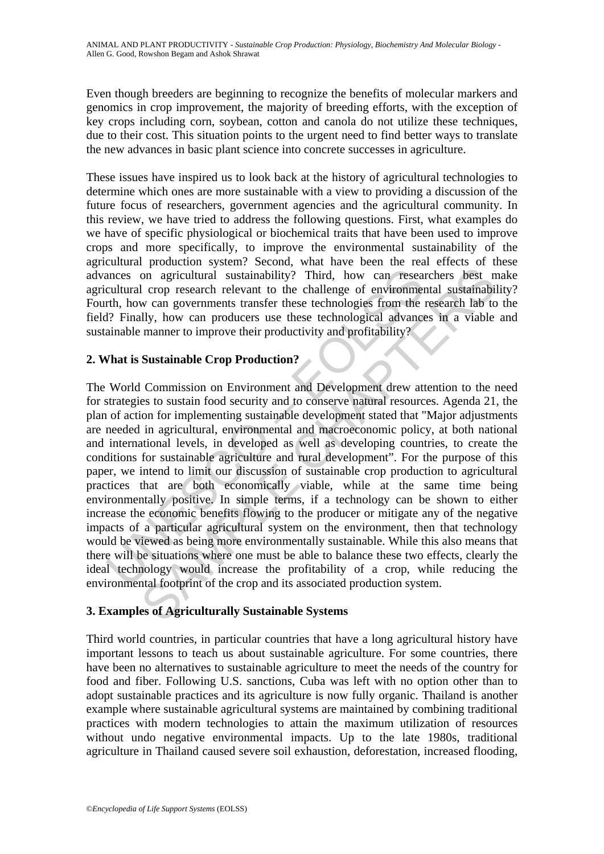Even though breeders are beginning to recognize the benefits of molecular markers and genomics in crop improvement, the majority of breeding efforts, with the exception of key crops including corn, soybean, cotton and canola do not utilize these techniques, due to their cost. This situation points to the urgent need to find better ways to translate the new advances in basic plant science into concrete successes in agriculture.

These issues have inspired us to look back at the history of agricultural technologies to determine which ones are more sustainable with a view to providing a discussion of the future focus of researchers, government agencies and the agricultural community. In this review, we have tried to address the following questions. First, what examples do we have of specific physiological or biochemical traits that have been used to improve crops and more specifically, to improve the environmental sustainability of the agricultural production system? Second, what have been the real effects of these advances on agricultural sustainability? Third, how can researchers best make agricultural crop research relevant to the challenge of environmental sustainability? Fourth, how can governments transfer these technologies from the research lab to the field? Finally, how can producers use these technological advances in a viable and sustainable manner to improve their productivity and profitability?

### **2. What is Sustainable Crop Production?**

ances on agricultural sustainability? Third, how can researcultural crop research relevant to the challenge of environment<br>th, how can governments transfer these technologies from the 1? Finally, how can producers use thes To approach a sustainability? Third, how can researchers best now can approximate the challenge of environmental sustainability. Third, how can researchers best not comparent transfer these technological advances in a viab The World Commission on Environment and Development drew attention to the need for strategies to sustain food security and to conserve natural resources. Agenda 21, the plan of action for implementing sustainable development stated that "Major adjustments are needed in agricultural, environmental and macroeconomic policy, at both national and international levels, in developed as well as developing countries, to create the conditions for sustainable agriculture and rural development". For the purpose of this paper, we intend to limit our discussion of sustainable crop production to agricultural practices that are both economically viable, while at the same time being environmentally positive. In simple terms, if a technology can be shown to either increase the economic benefits flowing to the producer or mitigate any of the negative impacts of a particular agricultural system on the environment, then that technology would be viewed as being more environmentally sustainable. While this also means that there will be situations where one must be able to balance these two effects, clearly the ideal technology would increase the profitability of a crop, while reducing the environmental footprint of the crop and its associated production system.

### **3. Examples of Agriculturally Sustainable Systems**

Third world countries, in particular countries that have a long agricultural history have important lessons to teach us about sustainable agriculture. For some countries, there have been no alternatives to sustainable agriculture to meet the needs of the country for food and fiber. Following U.S. sanctions, Cuba was left with no option other than to adopt sustainable practices and its agriculture is now fully organic. Thailand is another example where sustainable agricultural systems are maintained by combining traditional practices with modern technologies to attain the maximum utilization of resources without undo negative environmental impacts. Up to the late 1980s, traditional agriculture in Thailand caused severe soil exhaustion, deforestation, increased flooding,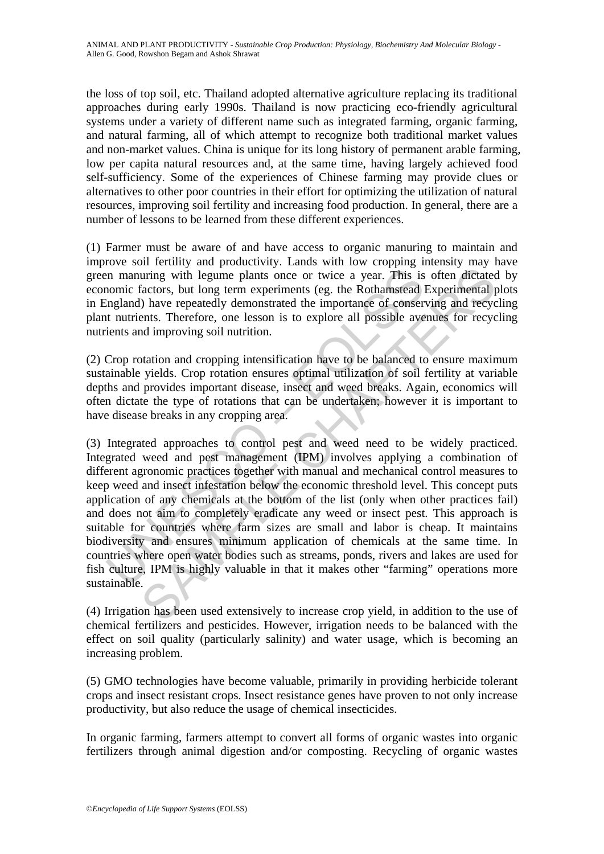the loss of top soil, etc. Thailand adopted alternative agriculture replacing its traditional approaches during early 1990s. Thailand is now practicing eco-friendly agricultural systems under a variety of different name such as integrated farming, organic farming, and natural farming, all of which attempt to recognize both traditional market values and non-market values. China is unique for its long history of permanent arable farming, low per capita natural resources and, at the same time, having largely achieved food self-sufficiency. Some of the experiences of Chinese farming may provide clues or alternatives to other poor countries in their effort for optimizing the utilization of natural resources, improving soil fertility and increasing food production. In general, there are a number of lessons to be learned from these different experiences.

(1) Farmer must be aware of and have access to organic manuring to maintain and improve soil fertility and productivity. Lands with low cropping intensity may have green manuring with legume plants once or twice a year. This is often dictated by economic factors, but long term experiments (eg. the Rothamstead Experimental plots in England) have repeatedly demonstrated the importance of conserving and recycling plant nutrients. Therefore, one lesson is to explore all possible avenues for recycling nutrients and improving soil nutrition.

(2) Crop rotation and cropping intensification have to be balanced to ensure maximum sustainable yields. Crop rotation ensures optimal utilization of soil fertility at variable depths and provides important disease, insect and weed breaks. Again, economics will often dictate the type of rotations that can be undertaken; however it is important to have disease breaks in any cropping area.

In manuring with legume plants once or twice a year. This is<br>comic factors, but long term experiments (eg. the Rothamstead lingland) have repeatedly demonstrated the importance of consert untrients. Therefore, one lesson i uring with legume plants once or twice a year. This is often dictated actors, but long term experiments (eg. the Rothamstead Experimental pl have repeatedly demonstrated the importance of conserving and recycles. Therefore (3) Integrated approaches to control pest and weed need to be widely practiced. Integrated weed and pest management (IPM) involves applying a combination of different agronomic practices together with manual and mechanical control measures to keep weed and insect infestation below the economic threshold level. This concept puts application of any chemicals at the bottom of the list (only when other practices fail) and does not aim to completely eradicate any weed or insect pest. This approach is suitable for countries where farm sizes are small and labor is cheap. It maintains biodiversity and ensures minimum application of chemicals at the same time. In countries where open water bodies such as streams, ponds, rivers and lakes are used for fish culture, IPM is highly valuable in that it makes other "farming" operations more sustainable.

(4) Irrigation has been used extensively to increase crop yield, in addition to the use of chemical fertilizers and pesticides. However, irrigation needs to be balanced with the effect on soil quality (particularly salinity) and water usage, which is becoming an increasing problem.

(5) GMO technologies have become valuable, primarily in providing herbicide tolerant crops and insect resistant crops. Insect resistance genes have proven to not only increase productivity, but also reduce the usage of chemical insecticides.

In organic farming, farmers attempt to convert all forms of organic wastes into organic fertilizers through animal digestion and/or composting. Recycling of organic wastes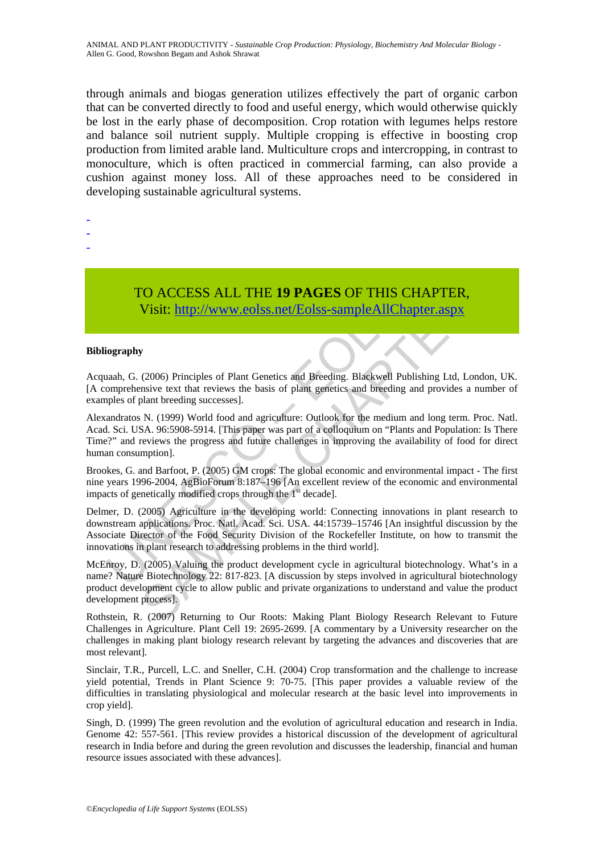through animals and biogas generation utilizes effectively the part of organic carbon that can be converted directly to food and useful energy, which would otherwise quickly be lost in the early phase of decomposition. Crop rotation with legumes helps restore and balance soil nutrient supply. Multiple cropping is effective in boosting crop production from limited arable land. Multiculture crops and intercropping, in contrast to monoculture, which is often practiced in commercial farming, can also provide a cushion against money loss. All of these approaches need to be considered in developing sustainable agricultural systems.

- -
- -
- -

TO ACCESS ALL THE **19 PAGES** OF THIS CHAPTER, Visit: http://www.eolss.net/Eolss-sampleAllChapter.aspx

#### **Bibliography**

Acquaah, G. (2006) Principles of Plant Genetics and Breeding. Blackwell Publishing Ltd, London, UK. [A comprehensive text that reviews the basis of plant genetics and breeding and provides a number of examples of plant breeding successes].

TO ACCESS ALL THE 19 PAGES OF THIS CHANNET VISIT: THE 19 PAGES OF THIS CHANNET VISIT: **http://www.colss.net/Eolss-sample All Chapter** (in the comprehensive text that reviews the basis of plant genetics and breeding and ple CO ACCESS ALL THE 19 PAGES OF THIS CHAPTER,<br>Visit:  $\frac{http://www.eolss.net/Eolss-sampleAllChapter.aspx}{http://www.eolss.net/Eolss-sampleAllChapter.aspx}$ <br>y<br>(2006) Principles of Plant Genetics and Breeding. Blackwell Publishing Ltd, London,<br>nsive text that reviews the basis of plant Alexandratos N. (1999) World food and agriculture: Outlook for the medium and long term. Proc. Natl. Acad. Sci. USA. 96:5908-5914. [This paper was part of a colloquium on "Plants and Population: Is There Time?" and reviews the progress and future challenges in improving the availability of food for direct human consumption].

Brookes, G. and Barfoot, P. (2005) GM crops: The global economic and environmental impact - The first nine years 1996-2004, AgBioForum 8:187–196 [An excellent review of the economic and environmental impacts of genetically modified crops through the  $1<sup>st</sup>$  decade].

Delmer, D. (2005) Agriculture in the developing world: Connecting innovations in plant research to downstream applications. Proc. Natl. Acad. Sci. USA. 44:15739–15746 [An insightful discussion by the Associate Director of the Food Security Division of the Rockefeller Institute, on how to transmit the innovations in plant research to addressing problems in the third world].

McEnroy, D. (2005) Valuing the product development cycle in agricultural biotechnology. What's in a name? Nature Biotechnology 22: 817-823. [A discussion by steps involved in agricultural biotechnology product development cycle to allow public and private organizations to understand and value the product development process].

Rothstein, R. (2007) Returning to Our Roots: Making Plant Biology Research Relevant to Future Challenges in Agriculture. Plant Cell 19: 2695-2699. [A commentary by a University researcher on the challenges in making plant biology research relevant by targeting the advances and discoveries that are most relevant].

Sinclair, T.R., Purcell, L.C. and Sneller, C.H. (2004) Crop transformation and the challenge to increase yield potential, Trends in Plant Science 9: 70-75. [This paper provides a valuable review of the difficulties in translating physiological and molecular research at the basic level into improvements in crop yield].

Singh, D. (1999) The green revolution and the evolution of agricultural education and research in India. Genome 42: 557-561. [This review provides a historical discussion of the development of agricultural research in India before and during the green revolution and discusses the leadership, financial and human resource issues associated with these advances].